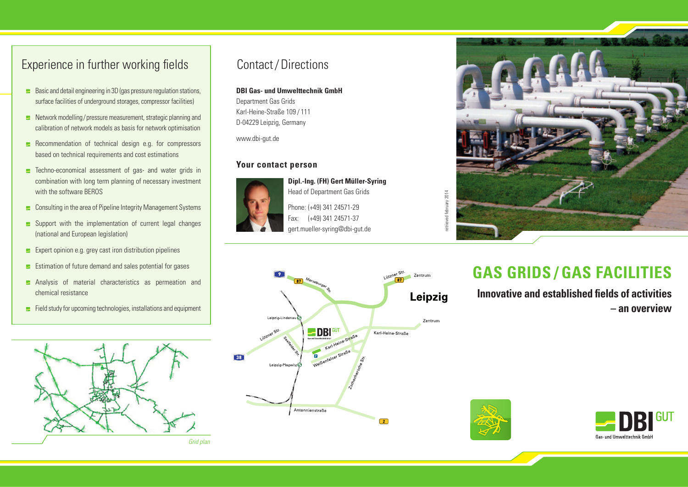# Experience in further working fields Contact/Directions

- $\blacktriangleright$  Basic and detail engineering in 3D (gas pressure regulation stations, surface facilities of underground storages, compressor facilities)
- $\blacktriangleright$  Network modelling/pressure measurement, strategic planning and calibration of network models as basis for network optimisation
- $\blacktriangleright$  Recommendation of technical design e.g. for compressors based on technical requirements and cost estimations
- **E** Techno-economical assessment of gas- and water grids in combination with long term planning of necessary investment with the software BEROS
- **E** Consulting in the area of Pipeline Integrity Management Systems
- $\blacktriangleright$  Support with the implementation of current legal changes (national and European legislation)
- $\blacktriangleright$  Expert opinion e.g. grey cast iron distribution pipelines
- **EXTERNATION ENDIN** Estimation of future demand and sales potential for gases
- **E** Analysis of material characteristics as permeation and chemical resistance
- Field study for upcoming technologies, installations and equipment



#### **DBI Gas- und Umwelttechnik GmbH**

Department Gas Grids Karl-Heine-Straße 109 / 111 D-04229 Leipzig, Germany

www.dbi-gut.de

#### **Your contact person**



Head of Department Gas Grids Phone: (+49) 341 24571-29 Fax: (+49) 341 24571-37 gert.mueller-syring@dbi-gut.de

**Dipl.-Ing. (FH) Gert Müller-Syring**





# **GAS GRIDS / GAS FACILITIES**

**Innovative and established fields of activities – an overview**